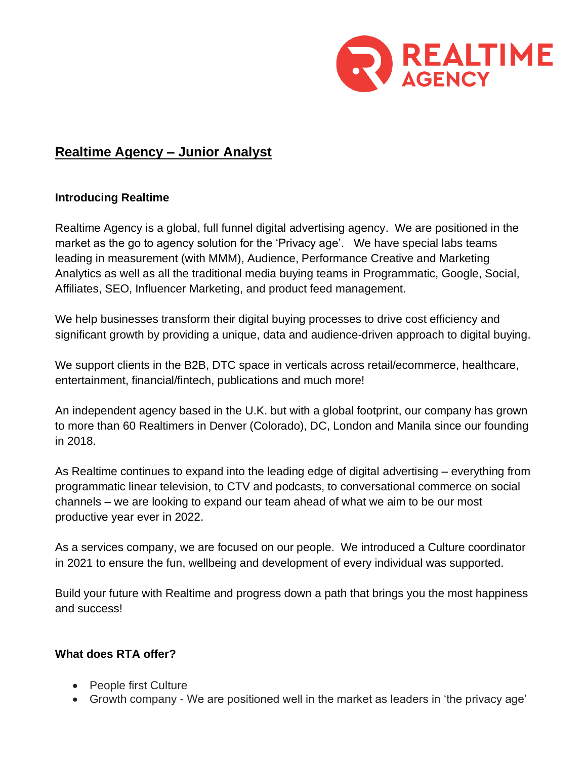

# **Realtime Agency – Junior Analyst**

### **Introducing Realtime**

Realtime Agency is a global, full funnel digital advertising agency. We are positioned in the market as the go to agency solution for the 'Privacy age'. We have special labs teams leading in measurement (with MMM), Audience, Performance Creative and Marketing Analytics as well as all the traditional media buying teams in Programmatic, Google, Social, Affiliates, SEO, Influencer Marketing, and product feed management.

We help businesses transform their digital buying processes to drive cost efficiency and significant growth by providing a unique, data and audience-driven approach to digital buying.

We support clients in the B2B, DTC space in verticals across retail/ecommerce, healthcare, entertainment, financial/fintech, publications and much more!

An independent agency based in the U.K. but with a global footprint, our company has grown to more than 60 Realtimers in Denver (Colorado), DC, London and Manila since our founding in 2018.

As Realtime continues to expand into the leading edge of digital advertising – everything from programmatic linear television, to CTV and podcasts, to conversational commerce on social channels – we are looking to expand our team ahead of what we aim to be our most productive year ever in 2022.

As a services company, we are focused on our people. We introduced a Culture coordinator in 2021 to ensure the fun, wellbeing and development of every individual was supported.

Build your future with Realtime and progress down a path that brings you the most happiness and success!

### **What does RTA offer?**

- People first Culture
- Growth company We are positioned well in the market as leaders in 'the privacy age'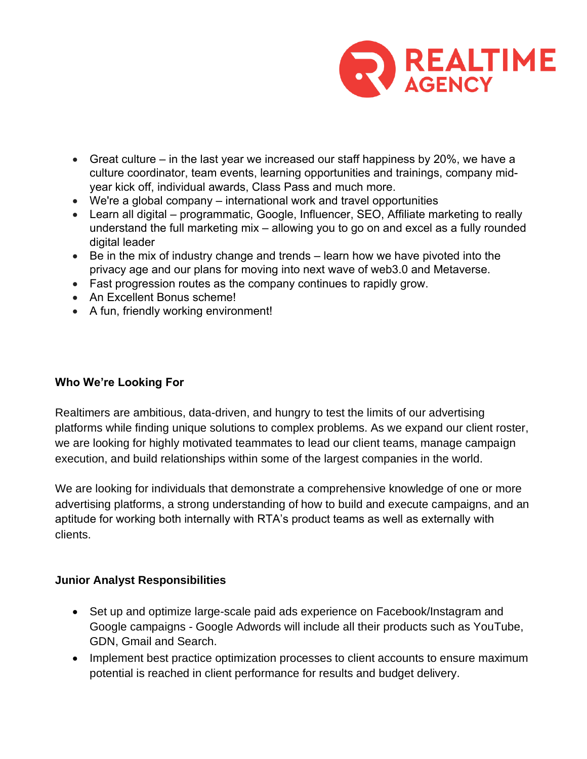

- Great culture in the last year we increased our staff happiness by 20%, we have a culture coordinator, team events, learning opportunities and trainings, company midyear kick off, individual awards, Class Pass and much more.
- We're a global company international work and travel opportunities
- Learn all digital programmatic, Google, Influencer, SEO, Affiliate marketing to really understand the full marketing mix – allowing you to go on and excel as a fully rounded digital leader
- Be in the mix of industry change and trends learn how we have pivoted into the privacy age and our plans for moving into next wave of web3.0 and Metaverse.
- Fast progression routes as the company continues to rapidly grow.
- An Excellent Bonus scheme!
- A fun, friendly working environment!

### **Who We're Looking For**

Realtimers are ambitious, data-driven, and hungry to test the limits of our advertising platforms while finding unique solutions to complex problems. As we expand our client roster, we are looking for highly motivated teammates to lead our client teams, manage campaign execution, and build relationships within some of the largest companies in the world.

We are looking for individuals that demonstrate a comprehensive knowledge of one or more advertising platforms, a strong understanding of how to build and execute campaigns, and an aptitude for working both internally with RTA's product teams as well as externally with clients.

### **Junior Analyst Responsibilities**

- Set up and optimize large-scale paid ads experience on Facebook/Instagram and Google campaigns - Google Adwords will include all their products such as YouTube, GDN, Gmail and Search.
- Implement best practice optimization processes to client accounts to ensure maximum potential is reached in client performance for results and budget delivery.